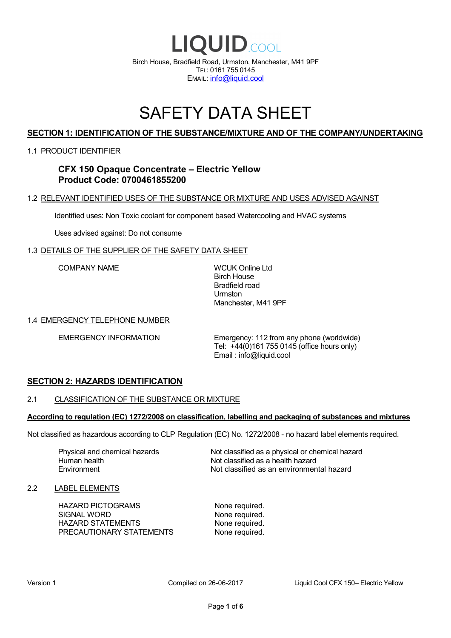

## SAFETY DATA SHEET

## **SECTION 1: IDENTIFICATION OF THE SUBSTANCE/MIXTURE AND OF THE COMPANY/UNDERTAKING**

#### 1.1 PRODUCT IDENTIFIER

**CFX 150 Opaque Concentrate – Electric Yellow Product Code: 0700461855200**

#### 1.2 RELEVANT IDENTIFIED USES OF THE SUBSTANCE OR MIXTURE AND USES ADVISED AGAINST

Identified uses: Non Toxic coolant for component based Watercooling and HVAC systems

Uses advised against: Do not consume

#### 1.3 DETAILS OF THE SUPPLIER OF THE SAFETY DATA SHEET

COMPANY NAME WCUK Online Ltd

Birch House Bradfield road Urmston Manchester, M41 9PF

#### 1.4 EMERGENCY TELEPHONE NUMBER

EMERGENCY INFORMATION Emergency: 112 from any phone (worldwide) Tel: +44(0)161 755 0145 (office hours only) Email : info@liquid.cool

#### **SECTION 2: HAZARDS IDENTIFICATION**

#### 2.1 CLASSIFICATION OF THE SUBSTANCE OR MIXTURE

#### **According to regulation (EC) 1272/2008 on classification, labelling and packaging of substances and mixtures**

Not classified as hazardous according to CLP Regulation (EC) No. 1272/2008 - no hazard label elements required.

Human health **Environment** 

Physical and chemical hazards Not classified as a physical or chemical hazard Not classified as a health hazard Not classified as an environmental hazard

#### 2.2 LABEL ELEMENTS

HAZARD PICTOGRAMS None required. SIGNAL WORD None required. HAZARD STATEMENTS None required. PRECAUTIONARY STATEMENTS None required.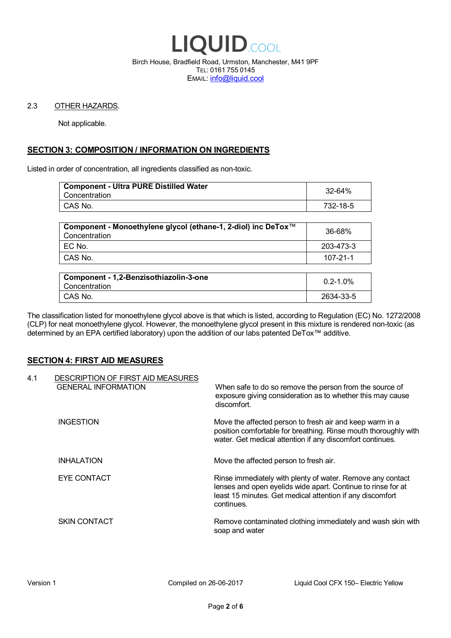

Birch House, Bradfield Road, Urmston, Manchester, M41 9PF TEL: 0161 755 0145 EMAIL: info@liquid.cool

#### 2.3 OTHER HAZARDS.

Not applicable.

## **SECTION 3: COMPOSITION / INFORMATION ON INGREDIENTS**

Listed in order of concentration, all ingredients classified as non-toxic.

| <b>Component - Ultra PURE Distilled Water</b><br>Concentration | 32-64%   |
|----------------------------------------------------------------|----------|
| CAS No.                                                        | 732-18-5 |
|                                                                |          |

| Component - Monoethylene glycol (ethane-1, 2-diol) inc DeTox™<br>Concentration | 36-68%    |
|--------------------------------------------------------------------------------|-----------|
| ' EC No.                                                                       | 203-473-3 |
| ∣ CAS No.                                                                      | 107-21-1  |

| Component - 1,2-Benzisothiazolin-3-one<br>Concentration | $0.2 - 1.0\%$ |
|---------------------------------------------------------|---------------|
| CAS No.                                                 | 2634-33-5     |

The classification listed for monoethylene glycol above is that which is listed, according to Regulation (EC) No. 1272/2008 (CLP) for neat monoethylene glycol. However, the monoethylene glycol present in this mixture is rendered non-toxic (as determined by an EPA certified laboratory) upon the addition of our labs patented DeTox™ additive.

#### **SECTION 4: FIRST AID MEASURES**

| 4.1 | DESCRIPTION OF FIRST AID MEASURES<br><b>GENERAL INFORMATION</b> | When safe to do so remove the person from the source of<br>exposure giving consideration as to whether this may cause<br>discomfort.                                                                  |
|-----|-----------------------------------------------------------------|-------------------------------------------------------------------------------------------------------------------------------------------------------------------------------------------------------|
|     | <b>INGESTION</b>                                                | Move the affected person to fresh air and keep warm in a<br>position comfortable for breathing. Rinse mouth thoroughly with<br>water. Get medical attention if any discomfort continues.              |
|     | <b>INHALATION</b>                                               | Move the affected person to fresh air.                                                                                                                                                                |
|     | EYE CONTACT                                                     | Rinse immediately with plenty of water. Remove any contact<br>lenses and open eyelids wide apart. Continue to rinse for at<br>least 15 minutes. Get medical attention if any discomfort<br>continues. |
|     | <b>SKIN CONTACT</b>                                             | Remove contaminated clothing immediately and wash skin with<br>soap and water                                                                                                                         |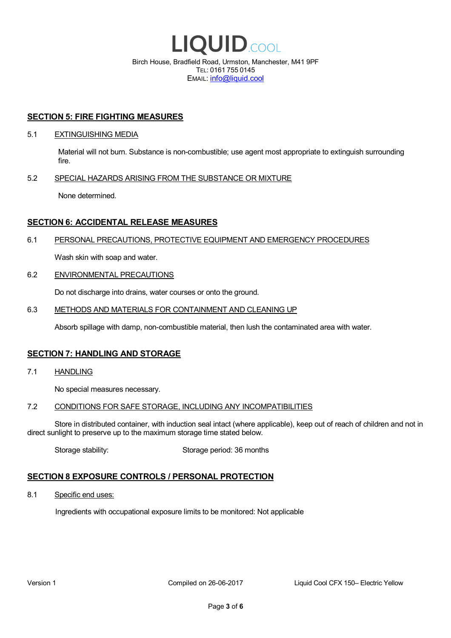

EMAIL: info@liquid.cool

#### **SECTION 5: FIRE FIGHTING MEASURES**

#### 5.1 EXTINGUISHING MEDIA

Material will not burn. Substance is non-combustible; use agent most appropriate to extinguish surrounding fire.

#### 5.2 SPECIAL HAZARDS ARISING FROM THE SUBSTANCE OR MIXTURE

None determined.

## **SECTION 6: ACCIDENTAL RELEASE MEASURES**

#### 6.1 PERSONAL PRECAUTIONS, PROTECTIVE EQUIPMENT AND EMERGENCY PROCEDURES

Wash skin with soap and water.

#### 6.2 ENVIRONMENTAL PRECAUTIONS

Do not discharge into drains, water courses or onto the ground.

#### 6.3 METHODS AND MATERIALS FOR CONTAINMENT AND CLEANING UP

Absorb spillage with damp, non-combustible material, then lush the contaminated area with water.

#### **SECTION 7: HANDLING AND STORAGE**

7.1 HANDLING

No special measures necessary.

#### 7.2 CONDITIONS FOR SAFE STORAGE, INCLUDING ANY INCOMPATIBILITIES

Store in distributed container, with induction seal intact (where applicable), keep out of reach of children and not in direct sunlight to preserve up to the maximum storage time stated below.

Storage stability: Storage period: 36 months

## **SECTION 8 EXPOSURE CONTROLS / PERSONAL PROTECTION**

8.1 Specific end uses:

Ingredients with occupational exposure limits to be monitored: Not applicable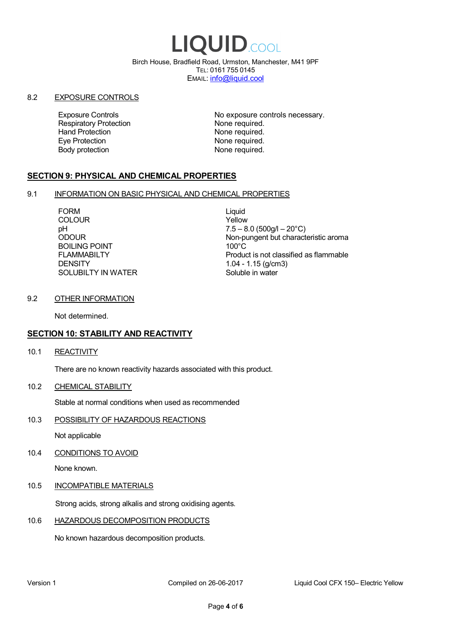# LIQUID.COOL

Birch House, Bradfield Road, Urmston, Manchester, M41 9PF TEL: 0161 755 0145 EMAIL: info@liquid.cool

#### 8.2 EXPOSURE CONTROLS

Respiratory Protection **None required.**<br>
Hand Protection **None required.** Eye Protection **None required.** Body protection None required.

Exposure Controls **Exposure Controls** No exposure controls necessary. None required.

## **SECTION 9: PHYSICAL AND CHEMICAL PROPERTIES**

#### 9.1 INFORMATION ON BASIC PHYSICAL AND CHEMICAL PROPERTIES

FORM Liquid COLOUR Yellow BOILING POINT FLAMMABILTY **DENSITY** SOLUBILTY IN WATER

pH<br>
DDOUR
20°C)
2000UR
2000UR
2000UR
2000UR Non-pungent but characteristic aroma 100°C Product is not classified as flammable 1.04 - 1.15 (g/cm3) Soluble in water

## 9.2 OTHER INFORMATION

Not determined.

## **SECTION 10: STABILITY AND REACTIVITY**

10.1 REACTIVITY

There are no known reactivity hazards associated with this product.

10.2 CHEMICAL STABILITY

Stable at normal conditions when used as recommended

10.3 POSSIBILITY OF HAZARDOUS REACTIONS

Not applicable

10.4 CONDITIONS TO AVOID

None known.

#### 10.5 INCOMPATIBLE MATERIALS

Strong acids, strong alkalis and strong oxidising agents.

#### 10.6 HAZARDOUS DECOMPOSITION PRODUCTS

No known hazardous decomposition products.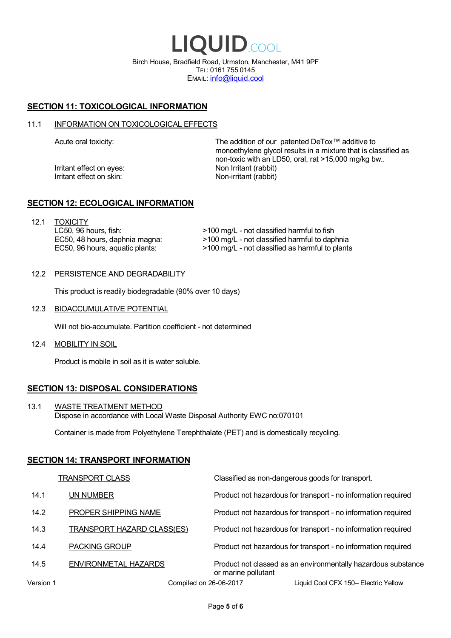LIQUID.COOL Birch House, Bradfield Road, Urmston, Manchester, M41 9PF TEL: 0161 755 0145 EMAIL: info@liquid.cool

## **SECTION 11: TOXICOLOGICAL INFORMATION**

#### 11.1 INFORMATION ON TOXICOLOGICAL EFFECTS

Irritant effect on eves: Non Irritant (rabbit) Irritant effect on skin: Non-irritant (rabbit)

Acute oral toxicity: The addition of our patented DeTox™ additive to monoethylene glycol results in a mixture that is classified as non-toxic with an LD50, oral, rat >15,000 mg/kg bw..

#### **SECTION 12: ECOLOGICAL INFORMATION**

12.1 TOXICITY LC50, 96 hours, fish: EC50, 48 hours, daphnia magna: EC50, 96 hours, aquatic plants:

>100 mg/L - not classified harmful to fish >100 mg/L - not classified harmful to daphnia >100 mg/L - not classified as harmful to plants

#### 12.2 PERSISTENCE AND DEGRADABILITY

This product is readily biodegradable (90% over 10 days)

12.3 BIOACCUMULATIVE POTENTIAL

Will not bio-accumulate. Partition coefficient - not determined

12.4 MOBILITY IN SOIL

Product is mobile in soil as it is water soluble.

## **SECTION 13: DISPOSAL CONSIDERATIONS**

13.1 WASTE TREATMENT METHOD Dispose in accordance with Local Waste Disposal Authority EWC no:070101

Container is made from Polyethylene Terephthalate (PET) and is domestically recycling.

#### **SECTION 14: TRANSPORT INFORMATION**

|           | <b>TRANSPORT CLASS</b>            | Classified as non-dangerous goods for transport.                                     |
|-----------|-----------------------------------|--------------------------------------------------------------------------------------|
| 14.1      | UN NUMBER                         | Product not hazardous for transport - no information required                        |
| 14.2      | PROPER SHIPPING NAME              | Product not hazardous for transport - no information required                        |
| 14.3      | <b>TRANSPORT HAZARD CLASS(ES)</b> | Product not hazardous for transport - no information required                        |
| 14.4      | <b>PACKING GROUP</b>              | Product not hazardous for transport - no information required                        |
| 14.5      | ENVIRONMETAL HAZARDS              | Product not classed as an environmentally hazardous substance<br>or marine pollutant |
| Version 1 |                                   | Liquid Cool CFX 150– Electric Yellow<br>Compiled on 26-06-2017                       |